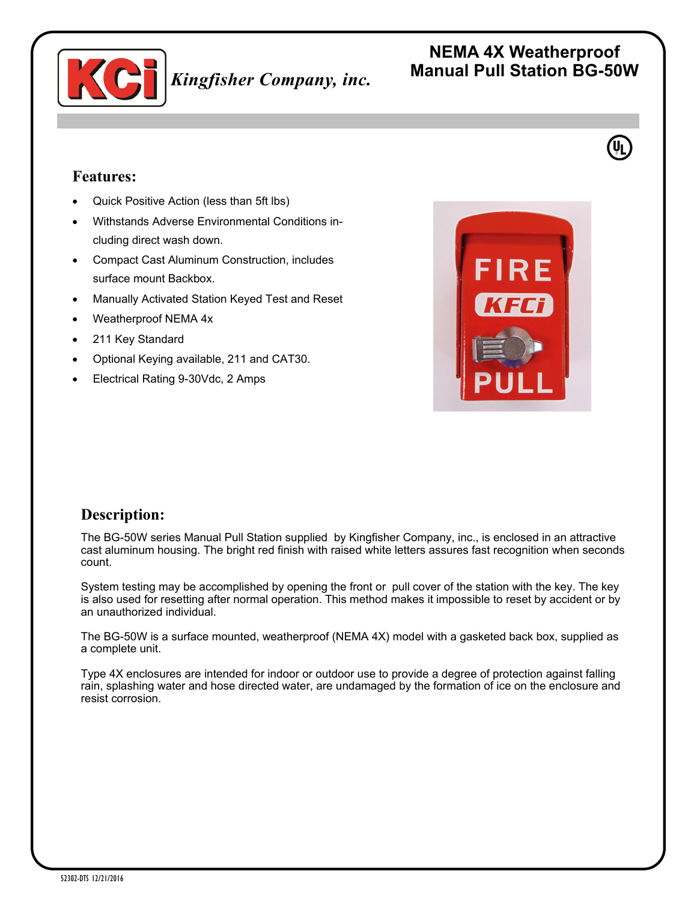

## **Features:**

- Quick Positive Action (less than 5ft lbs)
- Withstands Adverse Environmental Conditions including direct wash down.
- Compact Cast Aluminum Construction, includes surface mount Backbox.
- Manually Activated Station Keyed Test and Reset
- Weatherproof NEMA 4x
- 211 Key Standard
- Optional Keying available, 211 and CAT30.
- Electrical Rating 9-30Vdc, 2 Amps



## **Description:**

The BG-50W series Manual Pull Station supplied by Kingfisher Company, inc., is enclosed in an attractive cast aluminum housing. The bright red finish with raised white letters assures fast recognition when seconds count.

System testing may be accomplished by opening the front or pull cover of the station with the key. The key is also used for resetting after normal operation. This method makes it impossible to reset by accident or by an unauthorized individual.

The BG-50W is a surface mounted, weatherproof (NEMA 4X) model with a gasketed back box, supplied as a complete unit.

Type 4X enclosures are intended for indoor or outdoor use to provide a degree of protection against falling rain, splashing water and hose directed water, are undamaged by the formation of ice on the enclosure and resist corrosion.